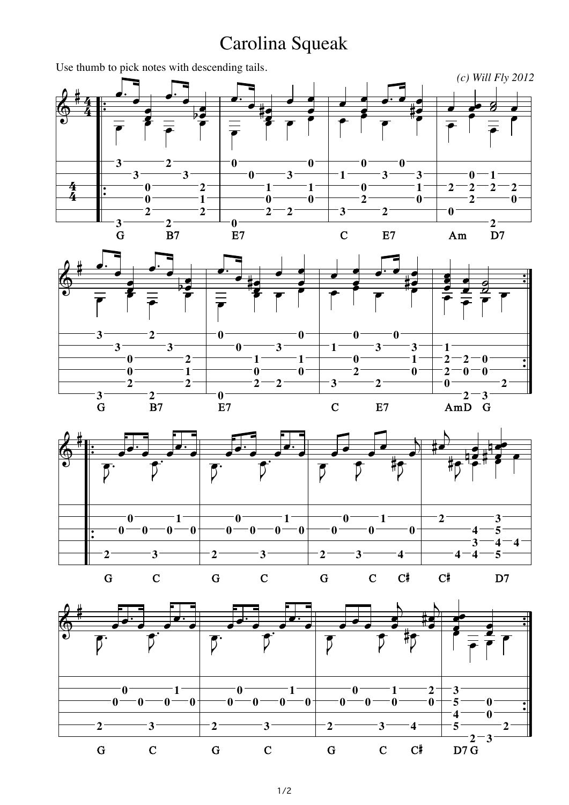## Carolina Squeak

*(c) Will Fly 2012* Use thumb to pick notes with descending tails.<br>  $\begin{array}{ccc}\n\bullet & \bullet & \bullet \\
\bullet & 4 & \bullet \\
\bullet & \bullet & \bullet\n\end{array}$  $\frac{4}{4}$  $\frac{4}{4}$ &  $\frac{4}{4}$ 4<br>4 **THE CONFIDENTI 3 3 3** Ï **∐JIJI ∐er 0 0 2** Ï  $\frac{2}{B7}$ **2**  $-3-$ **∐aj**<br>∫ **∐a**<br>∫  $\frac{1}{2}$ **∐ale 2 1 2**  $\begin{array}{c} \n\bullet \\
\hline\n\bullet \\
\hline\n\bullet\n\end{array}$ **THE CONTROL**  $\frac{0}{E7}$ **0 0 ∐e**<br>Î **# ∐a**<br>I **1 0 2 2**  $\frac{1}{\sqrt{2}}$ **d**<br> $\blacksquare$  $-3$ **due**<br>I **U**<br>P **du**<br>I **0**  $-1$ <sup> $-$ </sup> **0**  $\frac{1}{\sqrt{2}}$ **U**<br>I  $-1-$ **3 ∫ I de**  $-0-$ **0 2**  $\frac{1}{\sqrt{1-\frac{1}{2}}}$ **d**<br>P **2**  $-3 -0 \frac{1}{2}$ **U** —<br>##<br># **del 3 1 0 U**<br>I Ï **2 0**  $\frac{1}{\sqrt{2}}$ **∐e 0 2 2**  $\frac{1}{6}$ ú<br>⊟<br>● **1 2**  $\frac{8}{1}$  $\frac{2}{D7}$ \_<br>I<br>I Ï **2 0** G B7 E7 C E7 Am D7